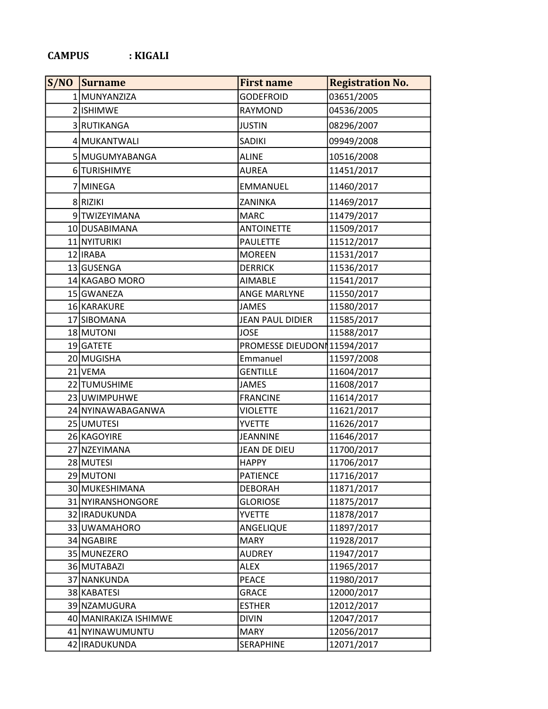## CAMPUS : KIGALI

| S/NO | Surname               | <b>First name</b>            | <b>Registration No.</b> |
|------|-----------------------|------------------------------|-------------------------|
|      | 1 MUNYANZIZA          | <b>GODEFROID</b>             | 03651/2005              |
|      | 2 ISHIMWE             | RAYMOND                      | 04536/2005              |
|      | 3 RUTIKANGA           | <b>JUSTIN</b>                | 08296/2007              |
|      | 4 MUKANTWALI          | SADIKI                       | 09949/2008              |
|      | 5 MUGUMYABANGA        | ALINE                        | 10516/2008              |
|      | 6 TURISHIMYE          | <b>AUREA</b>                 | 11451/2017              |
|      | 7 MINEGA              | <b>EMMANUEL</b>              | 11460/2017              |
|      | 8 RIZIKI              | ZANINKA                      | 11469/2017              |
|      | 9 TWIZEYIMANA         | <b>MARC</b>                  | 11479/2017              |
|      | 10 DUSABIMANA         | <b>ANTOINETTE</b>            | 11509/2017              |
|      | 11 NYITURIKI          | <b>PAULETTE</b>              | 11512/2017              |
|      | 12 IRABA              | <b>MOREEN</b>                | 11531/2017              |
|      | 13 GUSENGA            | <b>DERRICK</b>               | 11536/2017              |
|      | 14 KAGABO MORO        | <b>AIMABLE</b>               | 11541/2017              |
|      | 15 GWANEZA            | <b>ANGE MARLYNE</b>          | 11550/2017              |
|      | 16 KARAKURE           | <b>JAMES</b>                 | 11580/2017              |
|      | 17 SIBOMANA           | <b>JEAN PAUL DIDIER</b>      | 11585/2017              |
|      | 18 MUTONI             | <b>JOSE</b>                  | 11588/2017              |
|      | 19 GATETE             | PROMESSE DIEUDON  11594/2017 |                         |
|      | 20 MUGISHA            | Emmanuel                     | 11597/2008              |
|      | 21 VEMA               | <b>GENTILLE</b>              | 11604/2017              |
|      | 22 TUMUSHIME          | <b>JAMES</b>                 | 11608/2017              |
|      | 23 UWIMPUHWE          | <b>FRANCINE</b>              | 11614/2017              |
|      | 24 NYINAWABAGANWA     | <b>VIOLETTE</b>              | 11621/2017              |
|      | 25 UMUTESI            | <b>YVETTE</b>                | 11626/2017              |
|      | 26 KAGOYIRE           | <b>JEANNINE</b>              | 11646/2017              |
|      | 27 NZEYIMANA          | <b>JEAN DE DIEU</b>          | 11700/2017              |
|      | 28 MUTESI             | <b>HAPPY</b>                 | 11706/2017              |
|      | 29 MUTONI             | PATIENCE                     | 11716/2017              |
|      | 30 MUKESHIMANA        | <b>DEBORAH</b>               | 11871/2017              |
|      | 31 NYIRANSHONGORE     | <b>GLORIOSE</b>              | 11875/2017              |
|      | 32 IRADUKUNDA         | <b>YVETTE</b>                | 11878/2017              |
|      | 33 UWAMAHORO          | ANGELIQUE                    | 11897/2017              |
|      | 34 NGABIRE            | <b>MARY</b>                  | 11928/2017              |
|      | 35 MUNEZERO           | AUDREY                       | 11947/2017              |
|      | 36 MUTABAZI           | ALEX                         | 11965/2017              |
|      | 37 NANKUNDA           | PEACE                        | 11980/2017              |
|      | 38 KABATESI           | GRACE                        | 12000/2017              |
|      | 39 NZAMUGURA          | <b>ESTHER</b>                | 12012/2017              |
|      | 40 MANIRAKIZA ISHIMWE | <b>DIVIN</b>                 | 12047/2017              |
|      | 41 NYINAWUMUNTU       | <b>MARY</b>                  | 12056/2017              |
|      | 42   IRADUKUNDA       | SERAPHINE                    | 12071/2017              |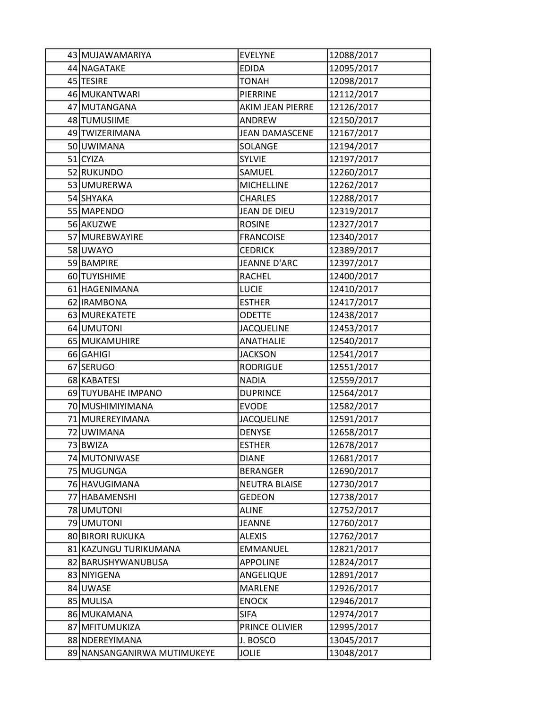| 43 MUJAWAMARIYA             | <b>EVELYNE</b>          | 12088/2017 |
|-----------------------------|-------------------------|------------|
| 44 NAGATAKE                 | <b>EDIDA</b>            | 12095/2017 |
| 45 TESIRE                   | <b>TONAH</b>            | 12098/2017 |
| 46 MUKANTWARI               | PIERRINE                | 12112/2017 |
| 47 MUTANGANA                | <b>AKIM JEAN PIERRE</b> | 12126/2017 |
| 48 TUMUSIIME                | ANDREW                  | 12150/2017 |
| 49 TWIZERIMANA              | <b>JEAN DAMASCENE</b>   | 12167/2017 |
| 50 UWIMANA                  | SOLANGE                 | 12194/2017 |
| $51$ CYIZA                  | <b>SYLVIE</b>           | 12197/2017 |
| 52 RUKUNDO                  | SAMUEL                  | 12260/2017 |
| 53 UMURERWA                 | <b>MICHELLINE</b>       | 12262/2017 |
| 54 SHYAKA                   | <b>CHARLES</b>          | 12288/2017 |
| 55 MAPENDO                  | JEAN DE DIEU            | 12319/2017 |
| 56 AKUZWE                   | <b>ROSINE</b>           | 12327/2017 |
| 57 MUREBWAYIRE              | <b>FRANCOISE</b>        | 12340/2017 |
| 58 UWAYO                    | <b>CEDRICK</b>          | 12389/2017 |
| 59 BAMPIRE                  | <b>JEANNE D'ARC</b>     | 12397/2017 |
| 60 TUYISHIME                | <b>RACHEL</b>           | 12400/2017 |
| 61 HAGENIMANA               | <b>LUCIE</b>            | 12410/2017 |
| 62   IRAMBONA               | <b>ESTHER</b>           | 12417/2017 |
| 63 MUREKATETE               | <b>ODETTE</b>           | 12438/2017 |
| 64 UMUTONI                  | <b>JACQUELINE</b>       | 12453/2017 |
| 65 MUKAMUHIRE               | <b>ANATHALIE</b>        | 12540/2017 |
| 66 GAHIGI                   | <b>JACKSON</b>          | 12541/2017 |
| 67 SERUGO                   | <b>RODRIGUE</b>         | 12551/2017 |
| 68 KABATESI                 | <b>NADIA</b>            | 12559/2017 |
| 69 TUYUBAHE IMPANO          | <b>DUPRINCE</b>         | 12564/2017 |
| 70 MUSHIMIYIMANA            | <b>EVODE</b>            | 12582/2017 |
| 71 MUREREYIMANA             | <b>JACQUELINE</b>       | 12591/2017 |
| 72 UWIMANA                  | <b>DENYSE</b>           | 12658/2017 |
| 73 BWIZA                    | <b>ESTHER</b>           | 12678/2017 |
| 74 MUTONIWASE               | <b>DIANE</b>            | 12681/2017 |
| 75 MUGUNGA                  | <b>BERANGER</b>         | 12690/2017 |
| 76 HAVUGIMANA               | <b>NEUTRA BLAISE</b>    | 12730/2017 |
| 77 HABAMENSHI               | <b>GEDEON</b>           | 12738/2017 |
| 78 UMUTONI                  | <b>ALINE</b>            | 12752/2017 |
| 79 UMUTONI                  | <b>JEANNE</b>           | 12760/2017 |
| 80 BIRORI RUKUKA            | <b>ALEXIS</b>           | 12762/2017 |
| 81 KAZUNGU TURIKUMANA       | <b>EMMANUEL</b>         | 12821/2017 |
| 82 BARUSHYWANUBUSA          | <b>APPOLINE</b>         | 12824/2017 |
| 83 NIYIGENA                 | ANGELIQUE               | 12891/2017 |
| 84 UWASE                    | <b>MARLENE</b>          | 12926/2017 |
| 85 MULISA                   | <b>ENOCK</b>            | 12946/2017 |
| 86 MUKAMANA                 | <b>SIFA</b>             | 12974/2017 |
| 87 MFITUMUKIZA              | PRINCE OLIVIER          | 12995/2017 |
| 88 NDEREYIMANA              | J. BOSCO                | 13045/2017 |
| 89 NANSANGANIRWA MUTIMUKEYE | <b>JOLIE</b>            | 13048/2017 |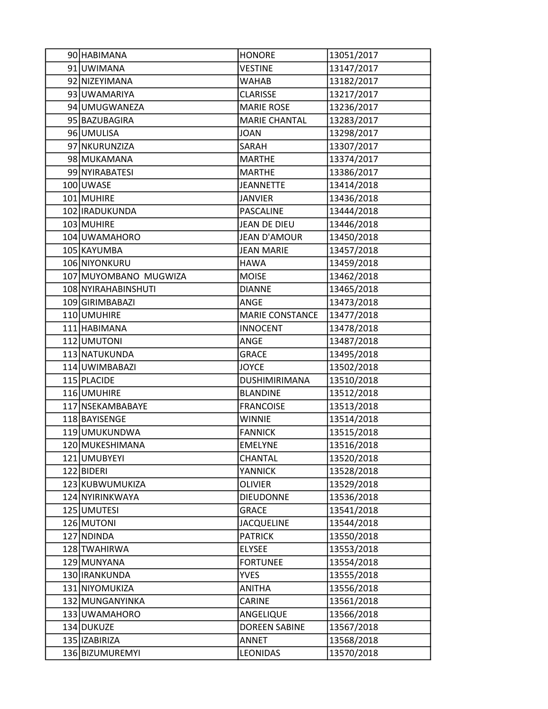| 90 HABIMANA           | <b>HONORE</b>          | 13051/2017 |
|-----------------------|------------------------|------------|
| 91 UWIMANA            | <b>VESTINE</b>         | 13147/2017 |
| 92 NIZEYIMANA         | WAHAB                  | 13182/2017 |
| 93 UWAMARIYA          | <b>CLARISSE</b>        | 13217/2017 |
| 94 UMUGWANEZA         | <b>MARIE ROSE</b>      | 13236/2017 |
| 95 BAZUBAGIRA         | <b>MARIE CHANTAL</b>   | 13283/2017 |
| 96 UMULISA            | <b>JOAN</b>            | 13298/2017 |
| 97 NKURUNZIZA         | SARAH                  | 13307/2017 |
| 98 MUKAMANA           | <b>MARTHE</b>          | 13374/2017 |
| 99 NYIRABATESI        | <b>MARTHE</b>          | 13386/2017 |
| 100 UWASE             | <b>JEANNETTE</b>       | 13414/2018 |
| 101 MUHIRE            | JANVIER                | 13436/2018 |
| 102 IRADUKUNDA        | PASCALINE              | 13444/2018 |
| 103 MUHIRE            | <b>JEAN DE DIEU</b>    | 13446/2018 |
| 104 UWAMAHORO         | <b>JEAN D'AMOUR</b>    | 13450/2018 |
| 105 KAYUMBA           | <b>JEAN MARIE</b>      | 13457/2018 |
| 106 NIYONKURU         | <b>HAWA</b>            | 13459/2018 |
| 107 MUYOMBANO MUGWIZA | <b>MOISE</b>           | 13462/2018 |
| 108 NYIRAHABINSHUTI   | <b>DIANNE</b>          | 13465/2018 |
| 109 GIRIMBABAZI       | ANGE                   | 13473/2018 |
| 110 UMUHIRE           | <b>MARIE CONSTANCE</b> | 13477/2018 |
| 111 HABIMANA          | <b>INNOCENT</b>        | 13478/2018 |
| 112 UMUTONI           | ANGE                   | 13487/2018 |
| 113 NATUKUNDA         | <b>GRACE</b>           | 13495/2018 |
| 114 UWIMBABAZI        | <b>JOYCE</b>           | 13502/2018 |
| 115 PLACIDE           | DUSHIMIRIMANA          | 13510/2018 |
| 116 UMUHIRE           | <b>BLANDINE</b>        | 13512/2018 |
| 117 NSEKAMBABAYE      | <b>FRANCOISE</b>       | 13513/2018 |
| 118 BAYISENGE         | <b>WINNIE</b>          | 13514/2018 |
| 119 UMUKUNDWA         | <b>FANNICK</b>         | 13515/2018 |
| 120 MUKESHIMANA       | <b>EMELYNE</b>         | 13516/2018 |
| 121 UMUBYEYI          | CHANTAL                | 13520/2018 |
| 122 BIDERI            | <b>YANNICK</b>         | 13528/2018 |
| 123 KUBWUMUKIZA       | <b>OLIVIER</b>         | 13529/2018 |
| 124 NYIRINKWAYA       | <b>DIEUDONNE</b>       | 13536/2018 |
| 125 UMUTESI           | <b>GRACE</b>           | 13541/2018 |
| 126 MUTONI            | <b>JACQUELINE</b>      | 13544/2018 |
| 127 NDINDA            | <b>PATRICK</b>         | 13550/2018 |
| 128 TWAHIRWA          | <b>ELYSEE</b>          | 13553/2018 |
| 129 MUNYANA           | <b>FORTUNEE</b>        | 13554/2018 |
| 130 IRANKUNDA         | <b>YVES</b>            | 13555/2018 |
| 131 NIYOMUKIZA        | <b>ANITHA</b>          | 13556/2018 |
| 132 MUNGANYINKA       | CARINE                 | 13561/2018 |
| 133 UWAMAHORO         | ANGELIQUE              | 13566/2018 |
| 134 DUKUZE            | <b>DOREEN SABINE</b>   | 13567/2018 |
| 135 IZABIRIZA         | ANNET                  | 13568/2018 |
| 136 BIZUMUREMYI       | <b>LEONIDAS</b>        | 13570/2018 |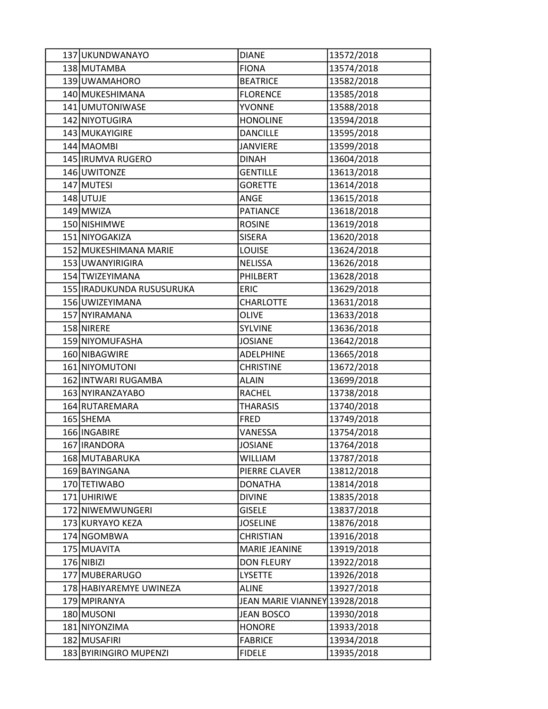| 137 UKUNDWANAYO           | <b>DIANE</b>                  | 13572/2018 |
|---------------------------|-------------------------------|------------|
| 138 MUTAMBA               | <b>FIONA</b>                  | 13574/2018 |
| 139 UWAMAHORO             | <b>BEATRICE</b>               | 13582/2018 |
| 140 MUKESHIMANA           | <b>FLORENCE</b>               | 13585/2018 |
| 141 UMUTONIWASE           | <b>YVONNE</b>                 | 13588/2018 |
| 142 NIYOTUGIRA            | <b>HONOLINE</b>               | 13594/2018 |
| 143 MUKAYIGIRE            | <b>DANCILLE</b>               | 13595/2018 |
| 144 MAOMBI                | <b>JANVIERE</b>               | 13599/2018 |
| 145   IRUMVA RUGERO       | <b>DINAH</b>                  | 13604/2018 |
| 146 UWITONZE              | <b>GENTILLE</b>               | 13613/2018 |
| 147 MUTESI                | <b>GORETTE</b>                | 13614/2018 |
| 148 UTUJE                 | ANGE                          | 13615/2018 |
| 149 MWIZA                 | <b>PATIANCE</b>               | 13618/2018 |
| 150 NISHIMWE              | <b>ROSINE</b>                 | 13619/2018 |
| 151 NIYOGAKIZA            | <b>SISERA</b>                 | 13620/2018 |
| 152 MUKESHIMANA MARIE     | <b>LOUISE</b>                 | 13624/2018 |
| 153 UWANYIRIGIRA          | <b>NELISSA</b>                | 13626/2018 |
| 154 TWIZEYIMANA           | PHILBERT                      | 13628/2018 |
| 155 IRADUKUNDA RUSUSURUKA | <b>ERIC</b>                   | 13629/2018 |
| 156 UWIZEYIMANA           | <b>CHARLOTTE</b>              | 13631/2018 |
| 157 NYIRAMANA             | <b>OLIVE</b>                  | 13633/2018 |
| 158 NIRERE                | <b>SYLVINE</b>                | 13636/2018 |
| 159 NIYOMUFASHA           | <b>JOSIANE</b>                | 13642/2018 |
| 160 NIBAGWIRE             | <b>ADELPHINE</b>              | 13665/2018 |
| 161 NIYOMUTONI            | <b>CHRISTINE</b>              | 13672/2018 |
| 162 INTWARI RUGAMBA       | <b>ALAIN</b>                  | 13699/2018 |
| 163 NYIRANZAYABO          | <b>RACHEL</b>                 | 13738/2018 |
| 164 RUTAREMARA            | <b>THARASIS</b>               | 13740/2018 |
| 165 SHEMA                 | FRED                          | 13749/2018 |
| 166 INGABIRE              | VANESSA                       | 13754/2018 |
| 167 IRANDORA              | <b>JOSIANE</b>                | 13764/2018 |
| 168 MUTABARUKA            | WILLIAM                       | 13787/2018 |
| 169 BAYINGANA             | PIERRE CLAVER                 | 13812/2018 |
| 170 TETIWABO              | <b>DONATHA</b>                | 13814/2018 |
| 171 UHIRIWE               | <b>DIVINE</b>                 | 13835/2018 |
| 172 NIWEMWUNGERI          | <b>GISELE</b>                 | 13837/2018 |
| 173 KURYAYO KEZA          | <b>JOSELINE</b>               | 13876/2018 |
| 174 NGOMBWA               | <b>CHRISTIAN</b>              | 13916/2018 |
| 175 MUAVITA               | <b>MARIE JEANINE</b>          | 13919/2018 |
| 176 NIBIZI                | <b>DON FLEURY</b>             | 13922/2018 |
| 177 MUBERARUGO            | <b>LYSETTE</b>                | 13926/2018 |
| 178 HABIYAREMYE UWINEZA   | <b>ALINE</b>                  | 13927/2018 |
| 179 MPIRANYA              | JEAN MARIE VIANNEY 13928/2018 |            |
| 180 MUSONI                | <b>JEAN BOSCO</b>             | 13930/2018 |
| 181 NIYONZIMA             | <b>HONORE</b>                 | 13933/2018 |
| 182 MUSAFIRI              | <b>FABRICE</b>                | 13934/2018 |
| 183 BYIRINGIRO MUPENZI    | <b>FIDELE</b>                 | 13935/2018 |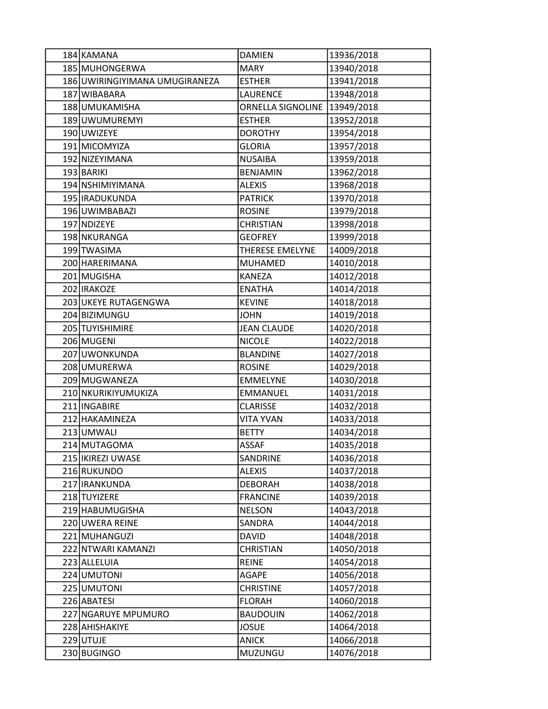| 184 KAMANA                     | <b>DAMIEN</b>                | 13936/2018 |
|--------------------------------|------------------------------|------------|
| 185 MUHONGERWA                 | <b>MARY</b>                  | 13940/2018 |
| 186 UWIRINGIYIMANA UMUGIRANEZA | <b>ESTHER</b>                | 13941/2018 |
| 187 WIBABARA                   | <b>LAURENCE</b>              | 13948/2018 |
| 188 UMUKAMISHA                 | ORNELLA SIGNOLINE 13949/2018 |            |
| 189 UWUMUREMYI                 | <b>ESTHER</b>                | 13952/2018 |
| 190 UWIZEYE                    | <b>DOROTHY</b>               | 13954/2018 |
| 191 MICOMYIZA                  | <b>GLORIA</b>                | 13957/2018 |
| 192 NIZEYIMANA                 | <b>NUSAIBA</b>               | 13959/2018 |
| 193 BARIKI                     | <b>BENJAMIN</b>              | 13962/2018 |
| 194 NSHIMIYIMANA               | <b>ALEXIS</b>                | 13968/2018 |
| 195 IRADUKUNDA                 | <b>PATRICK</b>               | 13970/2018 |
| 196 UWIMBABAZI                 | <b>ROSINE</b>                | 13979/2018 |
| 197 NDIZEYE                    | <b>CHRISTIAN</b>             | 13998/2018 |
| 198 NKURANGA                   | <b>GEOFREY</b>               | 13999/2018 |
| 199 TWASIMA                    | THERESE EMELYNE              | 14009/2018 |
| 200 HARERIMANA                 | <b>MUHAMED</b>               | 14010/2018 |
| 201 MUGISHA                    | <b>KANEZA</b>                | 14012/2018 |
| 202 IRAKOZE                    | <b>ENATHA</b>                | 14014/2018 |
| 203 UKEYE RUTAGENGWA           | <b>KEVINE</b>                | 14018/2018 |
| 204 BIZIMUNGU                  | <b>JOHN</b>                  | 14019/2018 |
| 205 TUYISHIMIRE                | <b>JEAN CLAUDE</b>           | 14020/2018 |
| 206 MUGENI                     | <b>NICOLE</b>                | 14022/2018 |
| 207 UWONKUNDA                  | <b>BLANDINE</b>              | 14027/2018 |
| 208 UMURERWA                   | <b>ROSINE</b>                | 14029/2018 |
| 209 MUGWANEZA                  | <b>EMMELYNE</b>              | 14030/2018 |
| 210 NKURIKIYUMUKIZA            | <b>EMMANUEL</b>              | 14031/2018 |
| 211 INGABIRE                   | <b>CLARISSE</b>              | 14032/2018 |
| 212 HAKAMINEZA                 | <b>VITA YVAN</b>             | 14033/2018 |
| 213 UMWALI                     | <b>BETTY</b>                 | 14034/2018 |
| 214 MUTAGOMA                   | <b>ASSAF</b>                 | 14035/2018 |
| 215   IKIREZI UWASE            | SANDRINE                     | 14036/2018 |
| 216 RUKUNDO                    | <b>ALEXIS</b>                | 14037/2018 |
| 217 IRANKUNDA                  | <b>DEBORAH</b>               | 14038/2018 |
| 218 TUYIZERE                   | <b>FRANCINE</b>              | 14039/2018 |
| 219 HABUMUGISHA                | <b>NELSON</b>                | 14043/2018 |
| 220 UWERA REINE                | SANDRA                       | 14044/2018 |
| 221 MUHANGUZI                  | <b>DAVID</b>                 | 14048/2018 |
| 222 NTWARI KAMANZI             | <b>CHRISTIAN</b>             | 14050/2018 |
| 223 ALLELUIA                   | <b>REINE</b>                 | 14054/2018 |
| 224 UMUTONI                    | AGAPE                        | 14056/2018 |
| 225 UMUTONI                    | <b>CHRISTINE</b>             | 14057/2018 |
| 226 ABATESI                    | <b>FLORAH</b>                | 14060/2018 |
| 227 NGARUYE MPUMURO            | <b>BAUDOUIN</b>              | 14062/2018 |
| 228 AHISHAKIYE                 | <b>JOSUE</b>                 | 14064/2018 |
| 229 UTUJE                      | <b>ANICK</b>                 | 14066/2018 |
| 230 BUGINGO                    | MUZUNGU                      | 14076/2018 |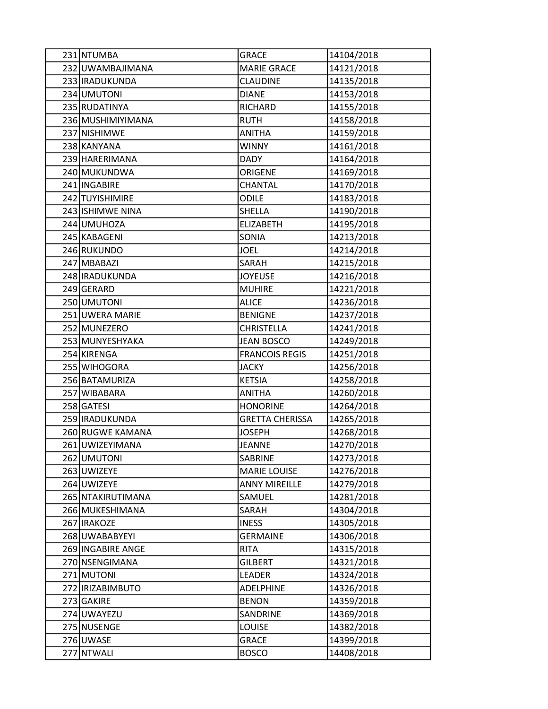| 231 NTUMBA        | <b>GRACE</b>           | 14104/2018 |
|-------------------|------------------------|------------|
| 232 UWAMBAJIMANA  | <b>MARIE GRACE</b>     | 14121/2018 |
| 233 IRADUKUNDA    | <b>CLAUDINE</b>        | 14135/2018 |
| 234 UMUTONI       | <b>DIANE</b>           | 14153/2018 |
| 235 RUDATINYA     | <b>RICHARD</b>         | 14155/2018 |
| 236 MUSHIMIYIMANA | <b>RUTH</b>            | 14158/2018 |
| 237 NISHIMWE      | <b>ANITHA</b>          | 14159/2018 |
| 238 KANYANA       | <b>WINNY</b>           | 14161/2018 |
| 239 HARERIMANA    | <b>DADY</b>            | 14164/2018 |
| 240 MUKUNDWA      | ORIGENE                | 14169/2018 |
| 241 INGABIRE      | <b>CHANTAL</b>         | 14170/2018 |
| 242 TUYISHIMIRE   | ODILE                  | 14183/2018 |
| 243 ISHIMWE NINA  | SHELLA                 | 14190/2018 |
| 244 UMUHOZA       | <b>ELIZABETH</b>       | 14195/2018 |
| 245 KABAGENI      | SONIA                  | 14213/2018 |
| 246 RUKUNDO       | <b>JOEL</b>            | 14214/2018 |
| 247 MBABAZI       | SARAH                  | 14215/2018 |
| 248 IRADUKUNDA    | <b>JOYEUSE</b>         | 14216/2018 |
| 249 GERARD        | <b>MUHIRE</b>          | 14221/2018 |
| 250 UMUTONI       | <b>ALICE</b>           | 14236/2018 |
| 251 UWERA MARIE   | <b>BENIGNE</b>         | 14237/2018 |
| 252 MUNEZERO      | <b>CHRISTELLA</b>      | 14241/2018 |
| 253 MUNYESHYAKA   | <b>JEAN BOSCO</b>      | 14249/2018 |
| 254 KIRENGA       | <b>FRANCOIS REGIS</b>  | 14251/2018 |
| 255 WIHOGORA      | <b>JACKY</b>           | 14256/2018 |
| 256 BATAMURIZA    | <b>KETSIA</b>          | 14258/2018 |
| 257 WIBABARA      | <b>ANITHA</b>          | 14260/2018 |
| 258 GATESI        | <b>HONORINE</b>        | 14264/2018 |
| 259 IRADUKUNDA    | <b>GRETTA CHERISSA</b> | 14265/2018 |
| 260 RUGWE KAMANA  | <b>JOSEPH</b>          | 14268/2018 |
| 261 UWIZEYIMANA   | <b>JEANNE</b>          | 14270/2018 |
| 262 UMUTONI       | SABRINE                | 14273/2018 |
| 263 UWIZEYE       | <b>MARIE LOUISE</b>    | 14276/2018 |
| 264 UWIZEYE       | <b>ANNY MIREILLE</b>   | 14279/2018 |
| 265 NTAKIRUTIMANA | SAMUEL                 | 14281/2018 |
| 266 MUKESHIMANA   | SARAH                  | 14304/2018 |
| 267 IRAKOZE       | <b>INESS</b>           | 14305/2018 |
| 268 UWABABYEYI    | <b>GERMAINE</b>        | 14306/2018 |
| 269 INGABIRE ANGE | <b>RITA</b>            | 14315/2018 |
| 270 NSENGIMANA    | <b>GILBERT</b>         | 14321/2018 |
| 271 MUTONI        | LEADER                 | 14324/2018 |
| 272 IRIZABIMBUTO  | <b>ADELPHINE</b>       | 14326/2018 |
| 273 GAKIRE        | <b>BENON</b>           | 14359/2018 |
| 274 UWAYEZU       | SANDRINE               | 14369/2018 |
| 275 NUSENGE       | <b>LOUISE</b>          | 14382/2018 |
| 276 UWASE         | <b>GRACE</b>           | 14399/2018 |
| 277 NTWALI        | <b>BOSCO</b>           | 14408/2018 |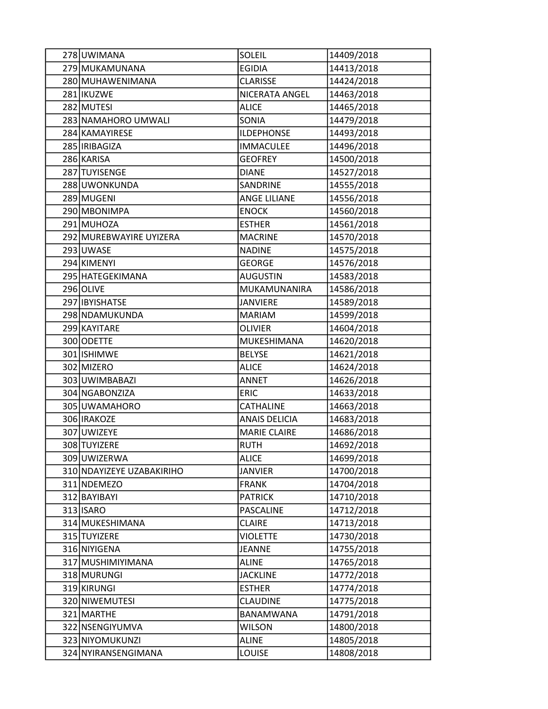| 278 UWIMANA               | <b>SOLEIL</b>        | 14409/2018 |
|---------------------------|----------------------|------------|
| 279 MUKAMUNANA            | <b>EGIDIA</b>        | 14413/2018 |
| 280 MUHAWENIMANA          | <b>CLARISSE</b>      | 14424/2018 |
| 281 IKUZWE                | NICERATA ANGEL       | 14463/2018 |
| 282 MUTESI                | <b>ALICE</b>         | 14465/2018 |
| 283 NAMAHORO UMWALI       | SONIA                | 14479/2018 |
| 284 KAMAYIRESE            | <b>ILDEPHONSE</b>    | 14493/2018 |
| 285   IRIBAGIZA           | <b>IMMACULEE</b>     | 14496/2018 |
| 286 KARISA                | <b>GEOFREY</b>       | 14500/2018 |
| 287 TUYISENGE             | <b>DIANE</b>         | 14527/2018 |
| 288 UWONKUNDA             | SANDRINE             | 14555/2018 |
| 289 MUGENI                | <b>ANGE LILIANE</b>  | 14556/2018 |
| 290 MBONIMPA              | <b>ENOCK</b>         | 14560/2018 |
| 291 MUHOZA                | <b>ESTHER</b>        | 14561/2018 |
| 292 MUREBWAYIRE UYIZERA   | <b>MACRINE</b>       | 14570/2018 |
| 293 UWASE                 | <b>NADINE</b>        | 14575/2018 |
| 294 KIMENYI               | <b>GEORGE</b>        | 14576/2018 |
| 295 HATEGEKIMANA          | <b>AUGUSTIN</b>      | 14583/2018 |
| 296 OLIVE                 | MUKAMUNANIRA         | 14586/2018 |
| 297 IBYISHATSE            | <b>JANVIERE</b>      | 14589/2018 |
| 298 NDAMUKUNDA            | <b>MARIAM</b>        | 14599/2018 |
| 299 KAYITARE              | <b>OLIVIER</b>       | 14604/2018 |
| 300 ODETTE                | MUKESHIMANA          | 14620/2018 |
| 301 ISHIMWE               | <b>BELYSE</b>        | 14621/2018 |
| 302 MIZERO                | <b>ALICE</b>         | 14624/2018 |
| 303 UWIMBABAZI            | <b>ANNET</b>         | 14626/2018 |
| 304 NGABONZIZA            | <b>ERIC</b>          | 14633/2018 |
| 305 UWAMAHORO             | <b>CATHALINE</b>     | 14663/2018 |
| 306 IRAKOZE               | <b>ANAIS DELICIA</b> | 14683/2018 |
| 307 UWIZEYE               | <b>MARIE CLAIRE</b>  | 14686/2018 |
| 308 TUYIZERE              | <b>RUTH</b>          | 14692/2018 |
| 309 UWIZERWA              | <b>ALICE</b>         | 14699/2018 |
| 310 NDAYIZEYE UZABAKIRIHO | <b>JANVIER</b>       | 14700/2018 |
| 311 NDEMEZO               | <b>FRANK</b>         | 14704/2018 |
| 312 BAYIBAYI              | <b>PATRICK</b>       | 14710/2018 |
| 313 ISARO                 | <b>PASCALINE</b>     | 14712/2018 |
| 314 MUKESHIMANA           | <b>CLAIRE</b>        | 14713/2018 |
| 315 TUYIZERE              | <b>VIOLETTE</b>      | 14730/2018 |
| 316 NIYIGENA              | <b>JEANNE</b>        | 14755/2018 |
| 317 MUSHIMIYIMANA         | <b>ALINE</b>         | 14765/2018 |
| 318 MURUNGI               | <b>JACKLINE</b>      | 14772/2018 |
| 319 KIRUNGI               | <b>ESTHER</b>        | 14774/2018 |
| 320 NIWEMUTESI            | <b>CLAUDINE</b>      | 14775/2018 |
| 321 MARTHE                | BANAMWANA            | 14791/2018 |
| 322 NSENGIYUMVA           | <b>WILSON</b>        | 14800/2018 |
| 323 NIYOMUKUNZI           | <b>ALINE</b>         | 14805/2018 |
| 324 NYIRANSENGIMANA       | LOUISE               | 14808/2018 |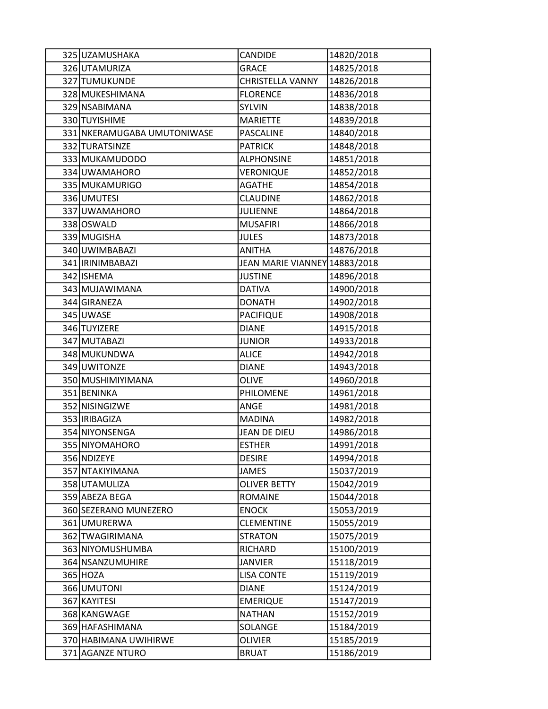| 325 UZAMUSHAKA              | CANDIDE                       | 14820/2018 |
|-----------------------------|-------------------------------|------------|
| 326 UTAMURIZA               | <b>GRACE</b>                  | 14825/2018 |
| 327 TUMUKUNDE               | <b>CHRISTELLA VANNY</b>       | 14826/2018 |
| 328 MUKESHIMANA             | <b>FLORENCE</b>               | 14836/2018 |
| 329 NSABIMANA               | <b>SYLVIN</b>                 | 14838/2018 |
| 330 TUYISHIME               | <b>MARIETTE</b>               | 14839/2018 |
| 331 NKERAMUGABA UMUTONIWASE | PASCALINE                     | 14840/2018 |
| 332 TURATSINZE              | <b>PATRICK</b>                | 14848/2018 |
| 333 MUKAMUDODO              | <b>ALPHONSINE</b>             | 14851/2018 |
| 334 UWAMAHORO               | VERONIQUE                     | 14852/2018 |
| 335 MUKAMURIGO              | <b>AGATHE</b>                 | 14854/2018 |
| 336 UMUTESI                 | <b>CLAUDINE</b>               | 14862/2018 |
| 337 UWAMAHORO               | <b>JULIENNE</b>               | 14864/2018 |
| 338 OSWALD                  | <b>MUSAFIRI</b>               | 14866/2018 |
| 339 MUGISHA                 | <b>JULES</b>                  | 14873/2018 |
| 340 UWIMBABAZI              | <b>ANITHA</b>                 | 14876/2018 |
| 341 IRINIMBABAZI            | JEAN MARIE VIANNEY 14883/2018 |            |
| 342 ISHEMA                  | <b>JUSTINE</b>                | 14896/2018 |
| 343 MUJAWIMANA              | <b>DATIVA</b>                 | 14900/2018 |
| 344 GIRANEZA                | <b>DONATH</b>                 | 14902/2018 |
| 345 UWASE                   | <b>PACIFIQUE</b>              | 14908/2018 |
| 346 TUYIZERE                | <b>DIANE</b>                  | 14915/2018 |
| 347 MUTABAZI                | <b>JUNIOR</b>                 | 14933/2018 |
| 348 MUKUNDWA                | <b>ALICE</b>                  | 14942/2018 |
| 349 UWITONZE                | <b>DIANE</b>                  | 14943/2018 |
| 350 MUSHIMIYIMANA           | <b>OLIVE</b>                  | 14960/2018 |
| 351 BENINKA                 | PHILOMENE                     | 14961/2018 |
| 352 NISINGIZWE              | ANGE                          | 14981/2018 |
| 353   IRIBAGIZA             | <b>MADINA</b>                 | 14982/2018 |
| 354 NIYONSENGA              | <b>JEAN DE DIEU</b>           | 14986/2018 |
| 355 NIYOMAHORO              | <b>ESTHER</b>                 | 14991/2018 |
| 356 NDIZEYE                 | <b>DESIRE</b>                 | 14994/2018 |
| 357 NTAKIYIMANA             | <b>JAMES</b>                  | 15037/2019 |
| 358 UTAMULIZA               | <b>OLIVER BETTY</b>           | 15042/2019 |
| 359 ABEZA BEGA              | <b>ROMAINE</b>                | 15044/2018 |
| 360 SEZERANO MUNEZERO       | <b>ENOCK</b>                  | 15053/2019 |
| 361 UMURERWA                | <b>CLEMENTINE</b>             | 15055/2019 |
| 362 TWAGIRIMANA             | <b>STRATON</b>                | 15075/2019 |
| 363 NIYOMUSHUMBA            | RICHARD                       | 15100/2019 |
| 364 NSANZUMUHIRE            | <b>JANVIER</b>                | 15118/2019 |
| 365 HOZA                    | <b>LISA CONTE</b>             | 15119/2019 |
| 366 UMUTONI                 | <b>DIANE</b>                  | 15124/2019 |
| 367 KAYITESI                | <b>EMERIQUE</b>               | 15147/2019 |
| 368 KANGWAGE                | <b>NATHAN</b>                 | 15152/2019 |
| 369 HAFASHIMANA             | SOLANGE                       | 15184/2019 |
| 370 HABIMANA UWIHIRWE       | <b>OLIVIER</b>                | 15185/2019 |
| 371 AGANZE NTURO            | <b>BRUAT</b>                  | 15186/2019 |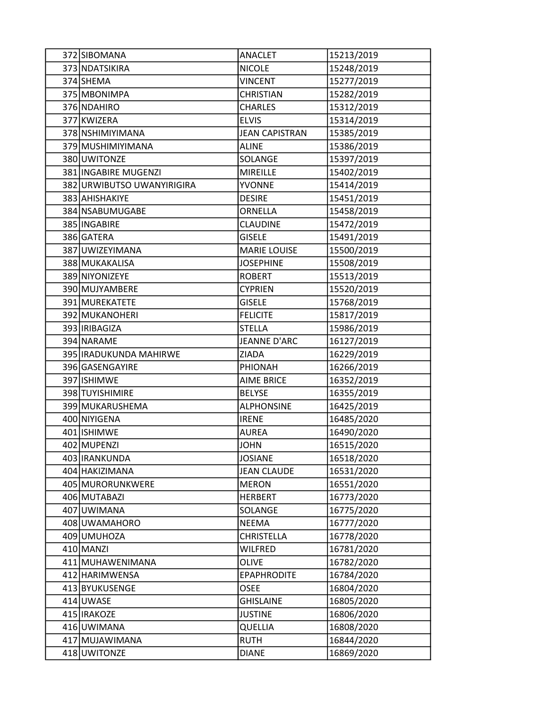| 372 SIBOMANA                     | <b>ANACLET</b>                    | 15213/2019               |
|----------------------------------|-----------------------------------|--------------------------|
| 373 NDATSIKIRA                   | <b>NICOLE</b>                     | 15248/2019               |
| 374 SHEMA                        | <b>VINCENT</b>                    | 15277/2019               |
| 375 MBONIMPA                     | <b>CHRISTIAN</b>                  | 15282/2019               |
| 376 NDAHIRO                      | <b>CHARLES</b>                    | 15312/2019               |
| 377 KWIZERA                      | <b>ELVIS</b>                      | 15314/2019               |
| 378 NSHIMIYIMANA                 | <b>JEAN CAPISTRAN</b>             | 15385/2019               |
| 379 MUSHIMIYIMANA                | <b>ALINE</b>                      | 15386/2019               |
| 380 UWITONZE                     | SOLANGE                           | 15397/2019               |
| 381 INGABIRE MUGENZI             | <b>MIREILLE</b>                   | 15402/2019               |
| 382 URWIBUTSO UWANYIRIGIRA       | <b>YVONNE</b>                     | 15414/2019               |
| 383 AHISHAKIYE                   | <b>DESIRE</b>                     | 15451/2019               |
| 384 NSABUMUGABE                  | ORNELLA                           | 15458/2019               |
| 385 INGABIRE                     | <b>CLAUDINE</b>                   | 15472/2019               |
| 386 GATERA                       | <b>GISELE</b>                     | 15491/2019               |
| 387 UWIZEYIMANA                  | <b>MARIE LOUISE</b>               | 15500/2019               |
| 388 MUKAKALISA                   | <b>JOSEPHINE</b>                  | 15508/2019               |
| 389 NIYONIZEYE                   | <b>ROBERT</b>                     | 15513/2019               |
| 390 MUJYAMBERE                   | <b>CYPRIEN</b>                    | 15520/2019               |
| 391 MUREKATETE                   | <b>GISELE</b>                     | 15768/2019               |
| 392 MUKANOHERI                   | <b>FELICITE</b>                   | 15817/2019               |
| 393   IRIBAGIZA                  | <b>STELLA</b>                     | 15986/2019               |
| 394 NARAME                       | JEANNE D'ARC                      | 16127/2019               |
| 395 IRADUKUNDA MAHIRWE           | ZIADA                             | 16229/2019               |
| 396 GASENGAYIRE                  | PHIONAH                           | 16266/2019               |
| 397 ISHIMWE                      | <b>AIME BRICE</b>                 | 16352/2019               |
| 398 TUYISHIMIRE                  | <b>BELYSE</b>                     | 16355/2019               |
| 399 MUKARUSHEMA                  | <b>ALPHONSINE</b>                 | 16425/2019               |
| 400 NIYIGENA                     | <b>IRENE</b>                      | 16485/2020               |
| 401 ISHIMWE                      | AUREA                             | 16490/2020               |
| 402 MUPENZI                      | <b>JOHN</b>                       | 16515/2020               |
| 403 IRANKUNDA                    | <b>JOSIANE</b>                    | 16518/2020               |
| 404 HAKIZIMANA                   | <b>JEAN CLAUDE</b>                | 16531/2020               |
| 405 MURORUNKWERE                 | <b>MERON</b>                      | 16551/2020               |
| 406 MUTABAZI                     | <b>HERBERT</b>                    | 16773/2020               |
| 407 UWIMANA                      | SOLANGE<br><b>NEEMA</b>           | 16775/2020               |
| 408 UWAMAHORO<br>409 UMUHOZA     | <b>CHRISTELLA</b>                 | 16777/2020               |
| 410 MANZI                        | <b>WILFRED</b>                    | 16778/2020               |
| 411 MUHAWENIMANA                 | <b>OLIVE</b>                      | 16781/2020<br>16782/2020 |
|                                  |                                   |                          |
| 412 HARIMWENSA<br>413 BYUKUSENGE | <b>EPAPHRODITE</b><br><b>OSEE</b> | 16784/2020<br>16804/2020 |
| 414 UWASE                        | <b>GHISLAINE</b>                  | 16805/2020               |
| 415   IRAKOZE                    | <b>JUSTINE</b>                    | 16806/2020               |
| 416 UWIMANA                      | <b>QUELLIA</b>                    | 16808/2020               |
| 417 MUJAWIMANA                   | <b>RUTH</b>                       | 16844/2020               |
| 418 UWITONZE                     | <b>DIANE</b>                      | 16869/2020               |
|                                  |                                   |                          |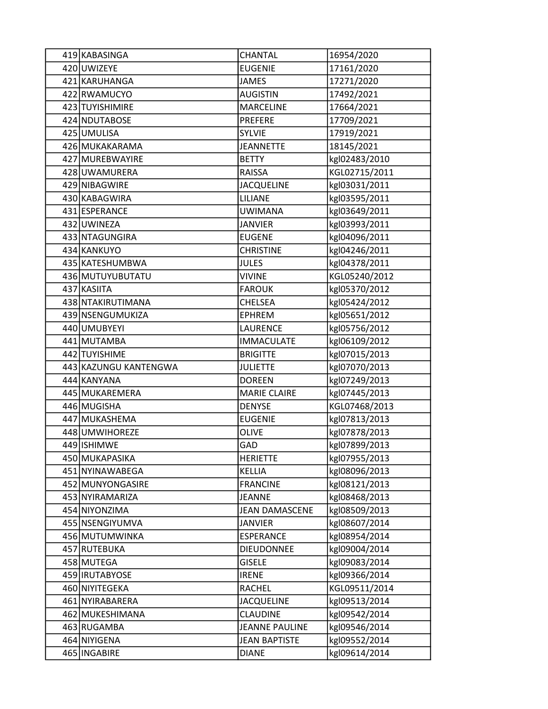| 419 KABASINGA         | CHANTAL               | 16954/2020    |
|-----------------------|-----------------------|---------------|
| 420 UWIZEYE           | <b>EUGENIE</b>        | 17161/2020    |
| 421 KARUHANGA         | <b>JAMES</b>          | 17271/2020    |
| 422 RWAMUCYO          | <b>AUGISTIN</b>       | 17492/2021    |
| 423 TUYISHIMIRE       | <b>MARCELINE</b>      | 17664/2021    |
| 424 NDUTABOSE         | <b>PREFERE</b>        | 17709/2021    |
| 425 UMULISA           | <b>SYLVIE</b>         | 17919/2021    |
| 426 MUKAKARAMA        | <b>JEANNETTE</b>      | 18145/2021    |
| 427 MUREBWAYIRE       | <b>BETTY</b>          | kgl02483/2010 |
| 428 UWAMURERA         | <b>RAISSA</b>         | KGL02715/2011 |
| 429 NIBAGWIRE         | <b>JACQUELINE</b>     | kgl03031/2011 |
| 430 KABAGWIRA         | <b>LILIANE</b>        | kgl03595/2011 |
| 431 ESPERANCE         | <b>UWIMANA</b>        | kgl03649/2011 |
| 432 UWINEZA           | <b>JANVIER</b>        | kgl03993/2011 |
| 433 NTAGUNGIRA        | <b>EUGENE</b>         | kgl04096/2011 |
| 434 KANKUYO           | <b>CHRISTINE</b>      | kgl04246/2011 |
| 435 KATESHUMBWA       | <b>JULES</b>          | kgl04378/2011 |
| 436 MUTUYUBUTATU      | <b>VIVINE</b>         | KGL05240/2012 |
| 437 KASIITA           | <b>FAROUK</b>         | kgl05370/2012 |
| 438 NTAKIRUTIMANA     | <b>CHELSEA</b>        | kgl05424/2012 |
| 439 NSENGUMUKIZA      | <b>EPHREM</b>         | kgl05651/2012 |
| 440 UMUBYEYI          | <b>LAURENCE</b>       | kgl05756/2012 |
| 441 MUTAMBA           | <b>IMMACULATE</b>     | kgl06109/2012 |
| 442 TUYISHIME         | <b>BRIGITTE</b>       | kgl07015/2013 |
| 443 KAZUNGU KANTENGWA | <b>JULIETTE</b>       | kgl07070/2013 |
| 444 KANYANA           | <b>DOREEN</b>         | kgl07249/2013 |
| 445 MUKAREMERA        | <b>MARIE CLAIRE</b>   | kgl07445/2013 |
| 446 MUGISHA           | <b>DENYSE</b>         | KGL07468/2013 |
| 447 MUKASHEMA         | <b>EUGENIE</b>        | kgl07813/2013 |
| 448 UMWIHOREZE        | <b>OLIVE</b>          | kgl07878/2013 |
| 449 ISHIMWE           | GAD                   | kgl07899/2013 |
| 450 MUKAPASIKA        | <b>HERIETTE</b>       | kgl07955/2013 |
| 451 NYINAWABEGA       | <b>KELLIA</b>         | kgl08096/2013 |
| 452 MUNYONGASIRE      | <b>FRANCINE</b>       | kgl08121/2013 |
| 453 NYIRAMARIZA       | <b>JEANNE</b>         | kgl08468/2013 |
| 454 NIYONZIMA         | <b>JEAN DAMASCENE</b> | kgl08509/2013 |
| 455 NSENGIYUMVA       | <b>JANVIER</b>        | kgl08607/2014 |
| 456 MUTUMWINKA        | <b>ESPERANCE</b>      | kgl08954/2014 |
| 457 RUTEBUKA          | <b>DIEUDONNEE</b>     | kgl09004/2014 |
| 458 MUTEGA            | <b>GISELE</b>         | kgl09083/2014 |
| 459 IRUTABYOSE        | <b>IRENE</b>          | kgl09366/2014 |
| 460 NIYITEGEKA        | <b>RACHEL</b>         | KGL09511/2014 |
| 461 NYIRABARERA       | <b>JACQUELINE</b>     | kgl09513/2014 |
| 462 MUKESHIMANA       | <b>CLAUDINE</b>       | kgl09542/2014 |
| 463 RUGAMBA           | <b>JEANNE PAULINE</b> | kgl09546/2014 |
| 464 NIYIGENA          | <b>JEAN BAPTISTE</b>  | kgl09552/2014 |
| 465   INGABIRE        | <b>DIANE</b>          | kgl09614/2014 |